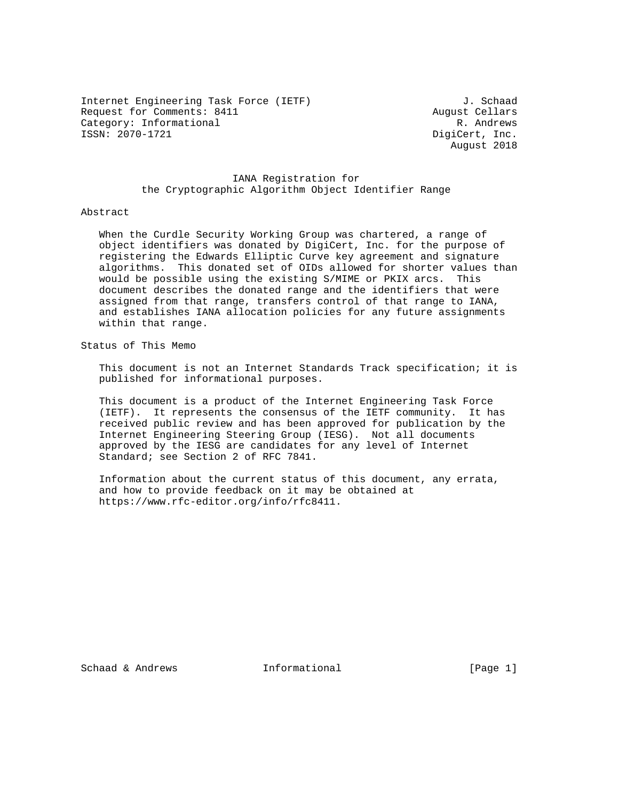Internet Engineering Task Force (IETF) 3. Schaad Request for Comments: 8411 August Cellars Category: Informational and R. Andrews R. Andrews R. Andrews R. Andrews R. Andrews R. Andrews R. Andrews R. Andrews R. Andrews R. Andrews R. Andrews R. Andrews R. Andrews R. Andrews R. Andrews R. Andrews R. Andrews R. Andr

DigiCert, Inc. August 2018

## IANA Registration for the Cryptographic Algorithm Object Identifier Range

#### Abstract

 When the Curdle Security Working Group was chartered, a range of object identifiers was donated by DigiCert, Inc. for the purpose of registering the Edwards Elliptic Curve key agreement and signature algorithms. This donated set of OIDs allowed for shorter values than would be possible using the existing S/MIME or PKIX arcs. This document describes the donated range and the identifiers that were assigned from that range, transfers control of that range to IANA, and establishes IANA allocation policies for any future assignments within that range.

Status of This Memo

 This document is not an Internet Standards Track specification; it is published for informational purposes.

 This document is a product of the Internet Engineering Task Force (IETF). It represents the consensus of the IETF community. It has received public review and has been approved for publication by the Internet Engineering Steering Group (IESG). Not all documents approved by the IESG are candidates for any level of Internet Standard; see Section 2 of RFC 7841.

 Information about the current status of this document, any errata, and how to provide feedback on it may be obtained at https://www.rfc-editor.org/info/rfc8411.

Schaad & Andrews **Informational** [Page 1]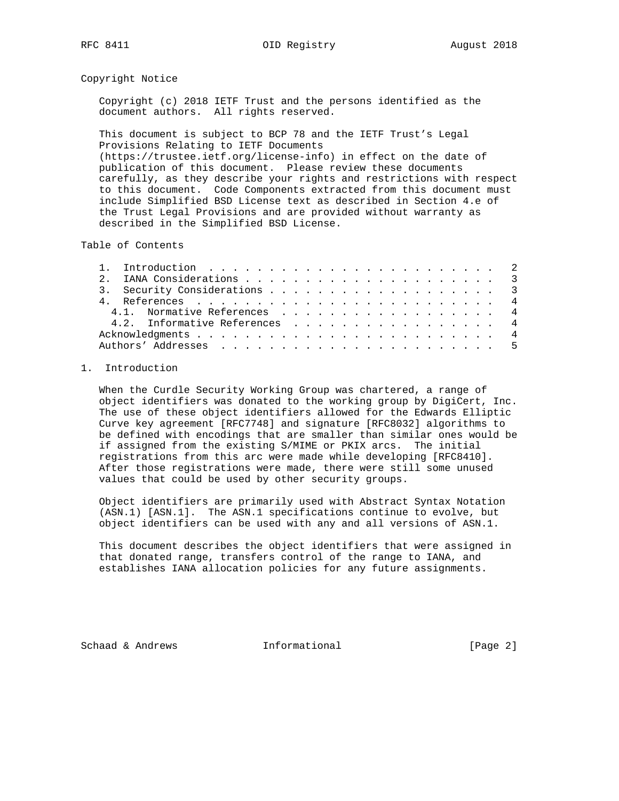RFC 8411 OID Registry August 2018

### Copyright Notice

 Copyright (c) 2018 IETF Trust and the persons identified as the document authors. All rights reserved.

 This document is subject to BCP 78 and the IETF Trust's Legal Provisions Relating to IETF Documents (https://trustee.ietf.org/license-info) in effect on the date of publication of this document. Please review these documents carefully, as they describe your rights and restrictions with respect to this document. Code Components extracted from this document must include Simplified BSD License text as described in Section 4.e of the Trust Legal Provisions and are provided without warranty as described in the Simplified BSD License.

Table of Contents

| 3. Security Considerations 3  |
|-------------------------------|
|                               |
| 4.1. Normative References 4   |
| 4.2. Informative References 4 |
|                               |
|                               |

### 1. Introduction

 When the Curdle Security Working Group was chartered, a range of object identifiers was donated to the working group by DigiCert, Inc. The use of these object identifiers allowed for the Edwards Elliptic Curve key agreement [RFC7748] and signature [RFC8032] algorithms to be defined with encodings that are smaller than similar ones would be if assigned from the existing S/MIME or PKIX arcs. The initial registrations from this arc were made while developing [RFC8410]. After those registrations were made, there were still some unused values that could be used by other security groups.

 Object identifiers are primarily used with Abstract Syntax Notation (ASN.1) [ASN.1]. The ASN.1 specifications continue to evolve, but object identifiers can be used with any and all versions of ASN.1.

 This document describes the object identifiers that were assigned in that donated range, transfers control of the range to IANA, and establishes IANA allocation policies for any future assignments.

Schaad & Andrews **Informational** [Page 2]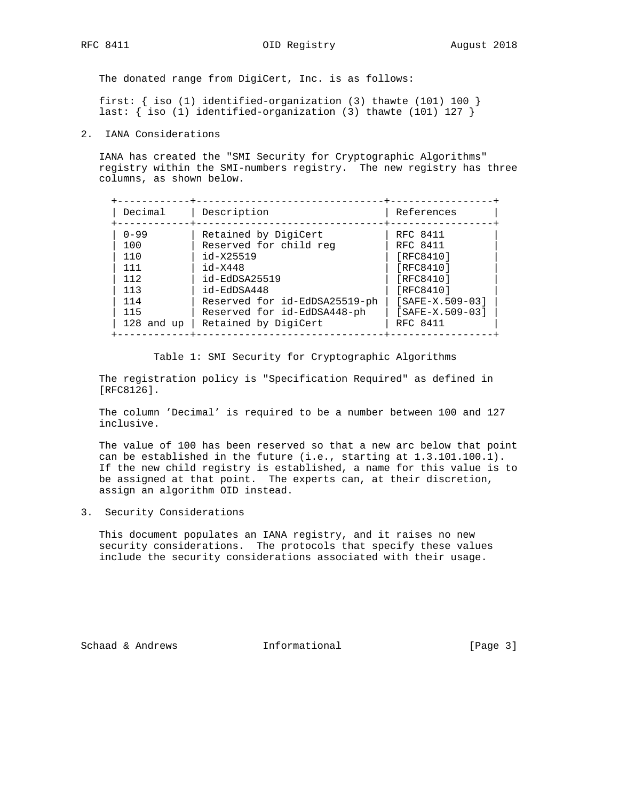RFC 8411 OID Registry August 2018

The donated range from DigiCert, Inc. is as follows:

 first: { iso (1) identified-organization (3) thawte (101) 100 } last: { iso (1) identified-organization (3) thawte (101) 127 }

2. IANA Considerations

 IANA has created the "SMI Security for Cryptographic Algorithms" registry within the SMI-numbers registry. The new registry has three columns, as shown below.

| Decimal        | Description                   | References        |
|----------------|-------------------------------|-------------------|
| $0 - 99$       | Retained by DigiCert          | RFC 8411          |
| 100            | Reserved for child reg        | RFC 8411          |
| 110            | id-X25519                     | [RFC8410]         |
| 111            | $id - X448$                   | [RFC8410]         |
| 112            | id-EdDSA25519                 | [RFC8410]         |
| 113            | id-EdDSA448                   | [RFC8410]         |
| 114            | Reserved for id-EdDSA25519-ph | $[SAFE-X.509-03]$ |
| 115            | Reserved for id-EdDSA448-ph   | $[SAFE-X.509-03]$ |
| $128$ and $up$ | Retained by DigiCert          | RFC 8411          |

Table 1: SMI Security for Cryptographic Algorithms

 The registration policy is "Specification Required" as defined in [RFC8126].

 The column 'Decimal' is required to be a number between 100 and 127 inclusive.

 The value of 100 has been reserved so that a new arc below that point can be established in the future (i.e., starting at 1.3.101.100.1). If the new child registry is established, a name for this value is to be assigned at that point. The experts can, at their discretion, assign an algorithm OID instead.

3. Security Considerations

 This document populates an IANA registry, and it raises no new security considerations. The protocols that specify these values include the security considerations associated with their usage.

Schaad & Andrews **Informational** [Page 3]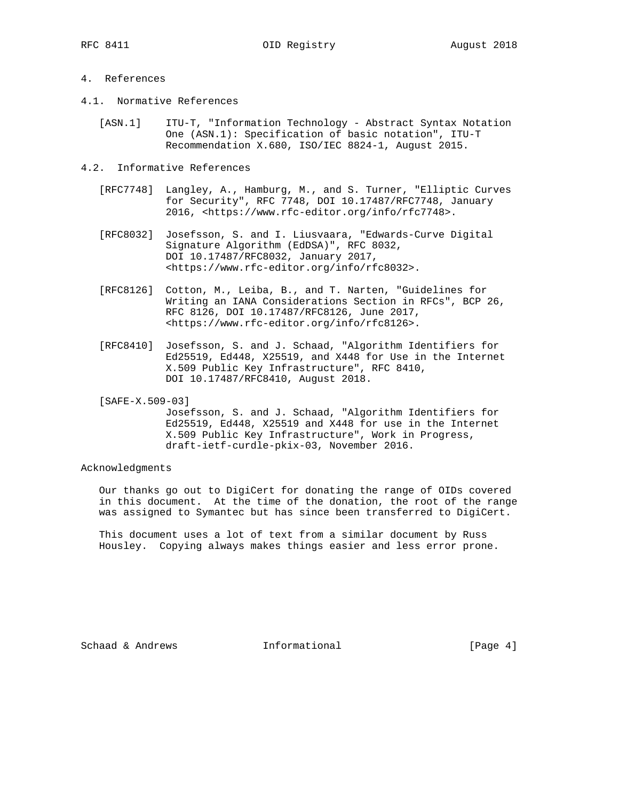# 4. References

- 4.1. Normative References
	- [ASN.1] ITU-T, "Information Technology Abstract Syntax Notation One (ASN.1): Specification of basic notation", ITU-T Recommendation X.680, ISO/IEC 8824-1, August 2015.
- 4.2. Informative References
	- [RFC7748] Langley, A., Hamburg, M., and S. Turner, "Elliptic Curves for Security", RFC 7748, DOI 10.17487/RFC7748, January 2016, <https://www.rfc-editor.org/info/rfc7748>.
	- [RFC8032] Josefsson, S. and I. Liusvaara, "Edwards-Curve Digital Signature Algorithm (EdDSA)", RFC 8032, DOI 10.17487/RFC8032, January 2017, <https://www.rfc-editor.org/info/rfc8032>.
	- [RFC8126] Cotton, M., Leiba, B., and T. Narten, "Guidelines for Writing an IANA Considerations Section in RFCs", BCP 26, RFC 8126, DOI 10.17487/RFC8126, June 2017, <https://www.rfc-editor.org/info/rfc8126>.
	- [RFC8410] Josefsson, S. and J. Schaad, "Algorithm Identifiers for Ed25519, Ed448, X25519, and X448 for Use in the Internet X.509 Public Key Infrastructure", RFC 8410, DOI 10.17487/RFC8410, August 2018.
	- [SAFE-X.509-03]

 Josefsson, S. and J. Schaad, "Algorithm Identifiers for Ed25519, Ed448, X25519 and X448 for use in the Internet X.509 Public Key Infrastructure", Work in Progress, draft-ietf-curdle-pkix-03, November 2016.

Acknowledgments

 Our thanks go out to DigiCert for donating the range of OIDs covered in this document. At the time of the donation, the root of the range was assigned to Symantec but has since been transferred to DigiCert.

 This document uses a lot of text from a similar document by Russ Housley. Copying always makes things easier and less error prone.

Schaad & Andrews **Informational** [Page 4]